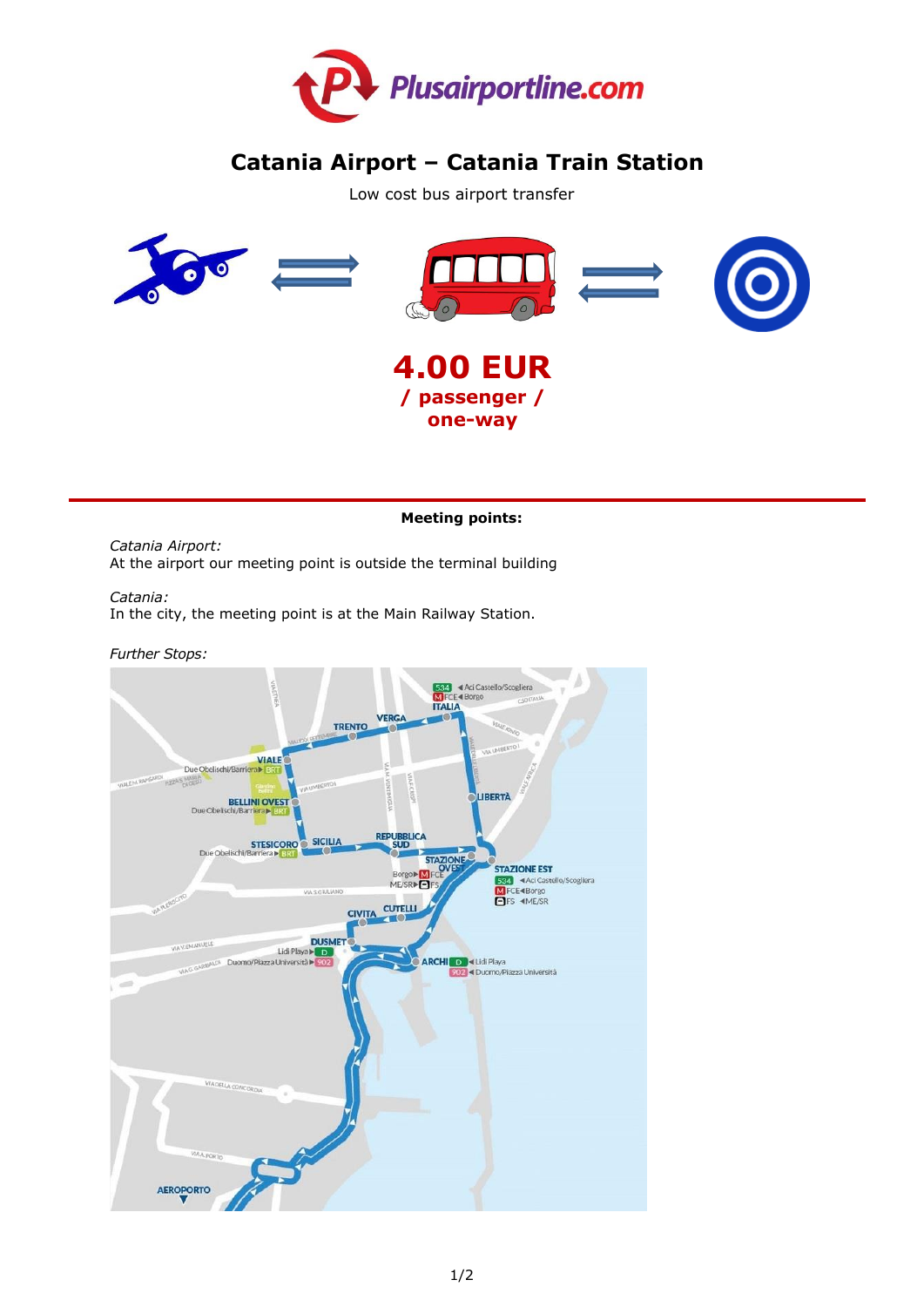

# **Catania Airport – Catania Train Station**

Low cost bus airport transfer



# **Meeting points:**

*Catania Airport:* At the airport our meeting point is outside the terminal building

*Catania:* 

In the city, the meeting point is at the Main Railway Station.

*Further Stops:*